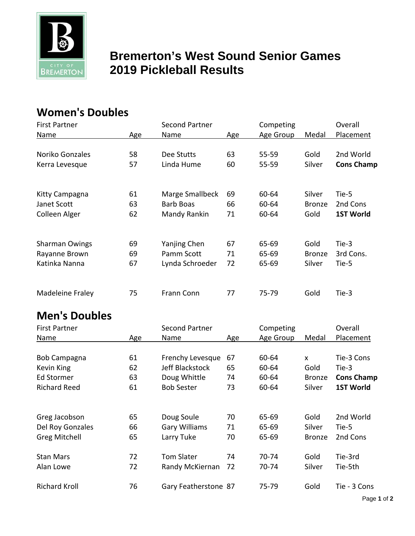

## **Bremerton's West Sound Senior Games BREMERTON** 2019 Pickleball Results

## **Women's Doubles**

| <b>First Partner</b>  |     | Second Partner  |     | Competing |               | Overall           |
|-----------------------|-----|-----------------|-----|-----------|---------------|-------------------|
| Name                  | Age | Name            | Age | Age Group | Medal         | Placement         |
|                       |     |                 |     |           |               |                   |
| Noriko Gonzales       | 58  | Dee Stutts      | 63  | 55-59     | Gold          | 2nd World         |
| Kerra Levesque        | 57  | Linda Hume      | 60  | $55 - 59$ | Silver        | <b>Cons Champ</b> |
|                       |     |                 |     |           |               |                   |
|                       |     |                 |     |           |               |                   |
| Kitty Campagna        | 61  | Marge Smallbeck | 69  | 60-64     | Silver        | Tie-5             |
| Janet Scott           | 63  | Barb Boas       | 66  | 60-64     | <b>Bronze</b> | 2nd Cons          |
| Colleen Alger         | 62  | Mandy Rankin    | 71  | 60-64     | Gold          | <b>1ST World</b>  |
|                       |     |                 |     |           |               |                   |
| <b>Sharman Owings</b> | 69  | Yanjing Chen    | 67  | 65-69     | Gold          | Tie-3             |
| Rayanne Brown         | 69  | Pamm Scott      | 71  | 65-69     | <b>Bronze</b> | 3rd Cons.         |
| Katinka Nanna         | 67  | Lynda Schroeder | 72  | 65-69     | Silver        | Tie-5             |
|                       |     |                 |     |           |               |                   |
| Madeleine Fraley      | 75  | Frann Conn      | 77  | 75-79     | Gold          | Tie-3             |
|                       |     |                 |     |           |               |                   |

## **Men's Doubles**

| <b>First Partner</b> |     | <b>Second Partner</b> |     | Competing |               | Overall           |
|----------------------|-----|-----------------------|-----|-----------|---------------|-------------------|
| Name                 | Age | Name                  | Age | Age Group | Medal         | Placement         |
|                      |     |                       |     |           |               |                   |
| Bob Campagna         | 61  | Frenchy Levesque      | 67  | 60-64     | <b>X</b>      | Tie-3 Cons        |
| Kevin King           | 62  | Jeff Blackstock       | 65  | 60-64     | Gold          | Tie-3             |
| Ed Stormer           | 63  | Doug Whittle          | 74  | 60-64     | <b>Bronze</b> | <b>Cons Champ</b> |
| <b>Richard Reed</b>  | 61  | <b>Bob Sester</b>     | 73  | 60-64     | Silver        | <b>1ST World</b>  |
|                      |     |                       |     |           |               |                   |
| Greg Jacobson        | 65  | Doug Soule            | 70  | 65-69     | Gold          | 2nd World         |
| Del Roy Gonzales     | 66  | <b>Gary Williams</b>  | 71  | 65-69     | Silver        | Tie-5             |
| <b>Greg Mitchell</b> | 65  | Larry Tuke            | 70  | 65-69     | <b>Bronze</b> | 2nd Cons          |
| <b>Stan Mars</b>     | 72  | <b>Tom Slater</b>     | 74  | 70-74     | Gold          | Tie-3rd           |
| Alan Lowe            | 72  | Randy McKiernan       | 72  | 70-74     | Silver        | Tie-5th           |
| <b>Richard Kroll</b> | 76  | Gary Featherstone 87  |     | 75-79     | Gold          | Tie - 3 Cons      |